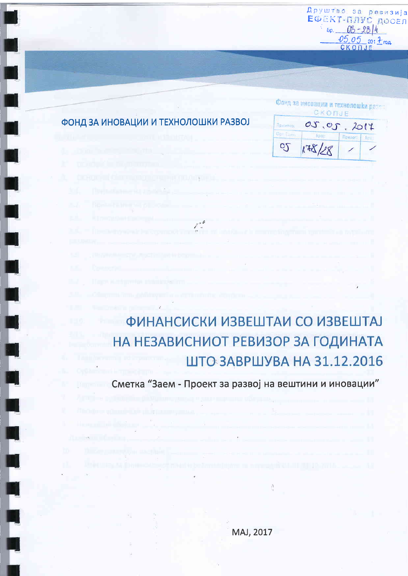Друштво за ревизија<br>ЕФЕКТ-ПЛУС ДОСЕЛ  $5p. 00 - 2814$  $05.05$  201  $\frac{1}{2}$ roa CKONJE

### ФОНД ЗА ИНОВАЦИИ И ТЕХНОЛОШКИ РАЗВОЈ

| <b>Audibio</b> | 05,05. |        | 2017 |
|----------------|--------|--------|------|
|                |        | Прилаг |      |
|                | 85/27  |        |      |

Фонд за иновации и технолошки разом

# ФИНАНСИСКИ ИЗВЕШТАИ СО ИЗВЕШТАЈ НА НЕЗАВИСНИОТ РЕВИЗОР ЗА ГОДИНАТА ШТО ЗАВРШУВА НА 31.12.2016

Сметка "Заем - Проект за развој на вештини и иновации"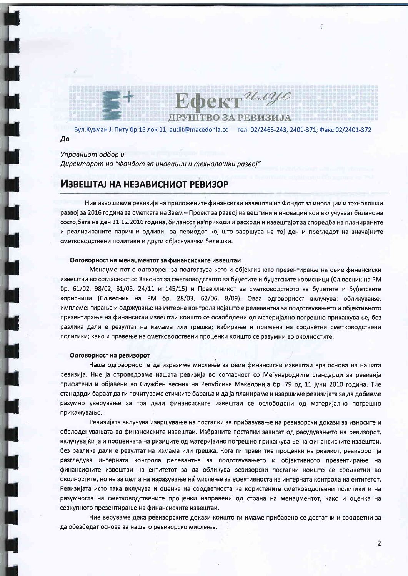**Ефект** имус ДРУШТВО ЗА РЕВИЗИЈА

Бул. Кузман J. Питу бр.15 лок 11, audit@macedonia.cc тел: 02/2465-243, 2401-371; Факс 02/2401-372 До

Управниот одбор и Директорот на "Фондот за иновации и технолошки развој"

### ИЗВЕШТАЈ НА НЕЗАВИСНИОТ РЕВИЗОР

Ние извршивме ревизија на приложените финансиски извештаи на Фондот за иновации и технолошки развој за 2016 година за сметката на Заем – Проект за развој на вештини и иновации кои вклучуваат биланс на состојбата на ден 31.12.2016 година, билансот на приходи и расходи и извештајот за споредба на планираните и реализираните парични одливи за периодот кој што завршува на тој ден и прегледот на значајните сметководствени политики и други објаснувачки белешки.

#### Одговорност на менаџментот за финансиските извештаи

Менаџментот е одговорен за подготвувањето и објективното презентирање на овие финансиски извештаи во согласност со Законот за сметководството за буџетите и буџетските корисници (Сл.весник на PM бр. 61/02, 98/02, 81/05, 24/11 и 145/15) и Правилникот за сметководството за буџетите и буџетските корисници (Сл.весник на РМ бр. 28/03, 62/06, 8/09). Оваа одговорност вклучува: обликување, имплементирање и одржување на интерна контрола којашто е релевантна за подготвувањето и објективното презентирање на финансиски извештаи коишто се ослободени од материјално погрешно прикажување, без разлика дали е резултат на измама или грешка; избирање и примена на соодветни сметководствени политики; како и правење на сметководствени проценки коишто се разумни во околностите.

#### Одговорност на ревизорот

Наша одговорност е да изразиме мислење за овие финансиски извештаи врз основа на нашата ревизија. Ние ја спроведовме нашата ревизија во согласност со Меѓународните стандарди за ревизија прифатени и објавени во Службен весник на Република Македонија бр. 79 од 11 јуни 2010 година. Тие стандарди бараат да ги почитуваме етичките барања и да ја планираме и извршиме ревизијата за да добиеме разумно уверување за тоа дали финансиските извештаи се ослободени од материјално погрешно прикажување.

Ревизијата вклучува извршување на постапки за прибавување на ревизорски докази за износите и обелоденувањата во финансиските извештаи. Избраните постапки зависат од расудувањето на ревизорот, вклучувајќи ја и проценката на ризиците од материјално погрешно прикажување на финансиските извештаи, без разлика дали е резултат на измама или грешка. Кога ги прави тие проценки на ризикот, ревизорот ја разгледува интерната контрола релевантна за подготвувањето и објективното презентирање на финансиските извештаи на ентитетот за да обликува ревизорски постапки коишто се соодветни во околностите, но не за целта на изразување на мислење за ефективноста на интерната контрола на ентитетот. Ревизијата исто така вклучува и оценка на соодветноста на користените сметководствени политики и на разумноста на сметководствените проценки направени од страна на менаџментот, како и оценка на севкупното презентирање на финансиските извештаи.

Ние веруваме дека ревизорските докази коишто ги имаме прибавено се достатни и соодветни за да обезбедат основа за нашето ревизорско мислење.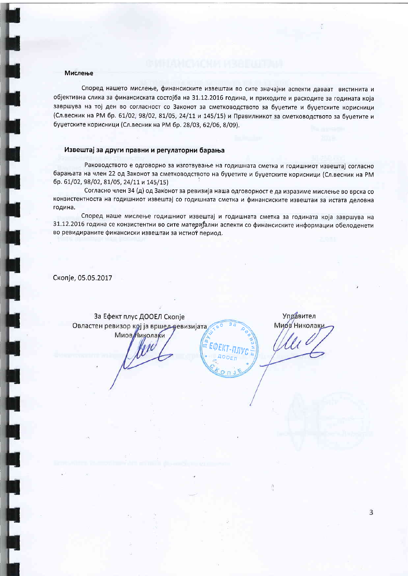#### Мислење

Според нашето мислење, финансиските извештаи во сите значајни аспекти даваат вистинита и објективна слика за финансиската состојба на 31.12.2016 година, и приходите и расходите за годината која завршува на тој ден во согласност со Законот за сметководството за буџетите и буџетските корисници (Сл.весник на РМ бр. 61/02; 98/02, 81/05, 24/11 и 145/15) и Правилникот за сметководството за буџетите и буџетските корисници (Сл.весник на РМ бр. 28/03, 62/06, 8/09).

#### Извештај за други правни и регулаторни барања

Раководството е одговорно за изготвување на годишната сметка и годишниот извештај согласно барањата на член 22 од Законот за сметководството на буџетите и буџетските корисници (Сл.весник на РМ бр. 61/02, 98/02, 81/05, 24/11 и 145/15)

Согласно член 34 (д) од Законот за ревизија наша одговорност е да изразиме мислење во врска со конзистентноста на годишниот извештај со годишната сметка и финансиските извештаи за истата деловна година.

Според наше мислење годишниот извештај и годишната сметка за годината која завршува на 31.12.2016 година се конзистентни во сите материјални аспекти со финансиските информации обелоденети во ревидираните финансиски извештаи за истиот период.

> EKT-NAVC  $00F$

Скопје, 05.05.2017

За Ефект плус ДООЕЛ Скопје Овластен ревизор кој ја вршед ревизијата **Миов** Николаки

Управител Миов Николаки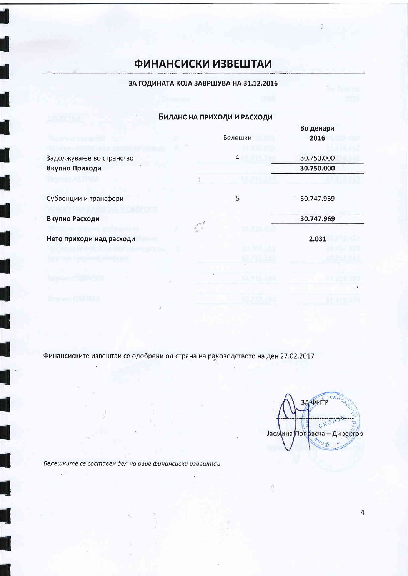# **ФИНАНСИСКИ ИЗВЕШТАИ**

### ЗА ГОДИНАТА КОЈА ЗАВРШУВА НА 31.12.2016

### Биланс на приходи и расходи

|                          |         | Во денари  |
|--------------------------|---------|------------|
|                          | Белешки | 2016       |
|                          |         |            |
| Задолжување во странство | 4       | 30.750.000 |
| Вкупно Приходи           |         | 30.750.000 |
|                          |         |            |
| Субвенции и трансфери    | 5       | 30.747.969 |
| Вкупно Расходи           |         | 30.747.969 |
| Нето приходи над расходи |         | 2.031      |
|                          |         |            |
|                          |         |            |
|                          |         |            |
|                          |         |            |

Финансиските извештаи се одобрени од страна на раководството на ден 27.02.2017

*<u>OWTP</u>* 3  $C_{KO}$ Јасмина Попрвска - Директор  $400$ 

ð

Белешките се составен дел на овие финансиски извештаи.

Ğ.

 $\overline{a}$ 

i.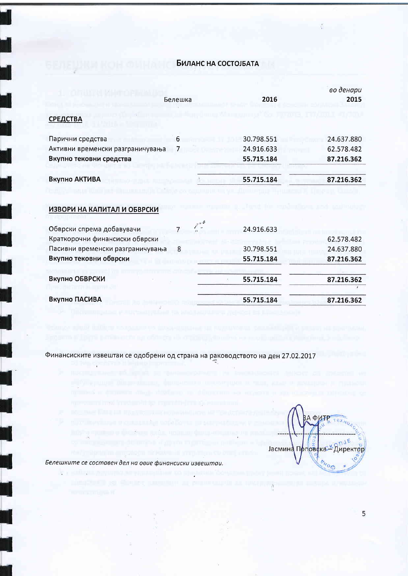### Биланс на состојбата

|                                  |         |            | во денари  |
|----------------------------------|---------|------------|------------|
|                                  | Белешка | 2016       | 2015       |
| <b>СРЕДСТВА</b>                  |         |            |            |
| Парични средства                 | 6       | 30.798.551 | 24.637.880 |
| Активни временски разграничувања |         | 24.916.633 | 62.578.482 |
| Вкупно тековни средства          |         | 55.715.184 | 87.216.362 |
| Вкупно АКТИВА                    |         | 55.715.184 | 87.216.362 |
| ИЗВОРИ НА КАПИТАЛ И ОБВРСКИ      |         |            |            |
| Обврски спрема добавувачи        | 7       | 24.916.633 |            |
| Краткорочни финансиски обврски   |         |            | 62.578.482 |
| Пасивни временски разграничувања | 8       | 30.798.551 | 24.637.880 |
| Вкупно тековни обврски           |         | 55.715.184 | 87.216.362 |
| Вкупно ОБВРСКИ                   |         | 55.715.184 | 87.216.362 |
|                                  |         |            |            |
| Вкупно ПАСИВА                    |         | 55.715.184 | 87.216.362 |

Финансиските извештаи се одобрени од страна на раководството на ден 27.02.2017

ĵ. **Д ФИТР** Јасмина Прповека \* Директор

Белешките се составен дел на овие финансиски извештаи.

 $\mathcal{C}_0$ 

 $\geq$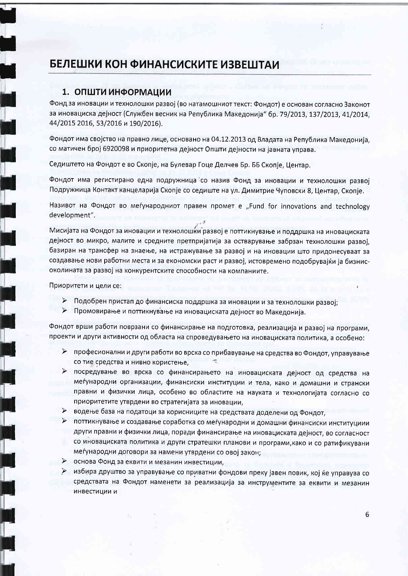# БЕЛЕШКИ КОН ФИНАНСИСКИТЕ ИЗВЕШТАИ

### 1. ОПШТИ ИНФОРМАЦИИ

Фонд за иновации и технолошки развој (во натамошниот текст; Фондот) е основан согласно Законот за иновациска деіност (Службен весник на Република Македонија" бр. 79/2013, 137/2013, 41/2014, 44/2015 2016, 53/2016 и 190/2016).

Фондот има својство на правно лице, основано на 04.12.2013 од Владата на Република Македонија. со матичен број 6920098 и приоритетна дејност Општи дејности на јавната управа.

Седиштето на Фондот е во Скопје, на Булевар Гоце Делчев Бр. ББ Скопје, Центар,

Фондот има регистирано една подружница со назив Фонд за иновации и технолошки развој Подружница Контакт канцеларија Скопје со седиште на ул. Димитрие Чуповски 8, Центар, Скопје.

Називот на Фондот во меѓународниот правен промет е "Fund for innovations and technology development".

Мисијата на Фондот за иновации и технолошки развој е поттикнување и поддршка на иновациската дејност во микро, малите и средните претпријатија за остварување забрзан технолошки развој. базиран на трансфер на знаење, на истражување за развој и на иновации што придонесуваат за создавање нови работни места и за економски раст и развој, истовремено подобрувајќи ја бизнисоколината за развој на конкурентските способности на компаниите.

Приоритети и цели се:

- > Подобрен пристап до финансиска поддршка за иновации и за технолошки развој;
- $\blacktriangleright$ Промовирање и поттикнување на иновациската дејност во Македонија.

Фондот врши работи поврзани со финансирање на подготовка, реализација и развој на програми, проекти и други активности од областа на спроведувањето на иновациската политика, а особено:

- > професионални и други работи во врска со прибавување на средства во Фондот, управување со тие средства и нивно користење,  $\sigma_{\rm m}$
- > посредување во врска со финансирањето на иновациската дејност од средства на меѓународни организации, финансиски институции и тела, како и домашни и странски правни и физички лица, особено во областите на науката и технологијата согласно со приоритетите утврдени во стратегијата за иновации,
- > водење база на податоци за корисниците на средствата доделени од Фондот,
- > поттикнување и создавање соработка со меѓународни и домашни финансиски институциии други правни и физички лица, поради финансирање на иновациската дејност, во согласност со иновациската политика и други стратешки планови и програми, како и со ратификувани меѓународни договори за намени утврдени со овој закон;
- > основа Фонд за еквити и мезанин инвестиции,
- > избира друштво за управување со приватни фондови преку јавен повик, кој ќе управува со средствата на Фондот наменети за реализација за инструментите за еквити и мезанин инвестиции и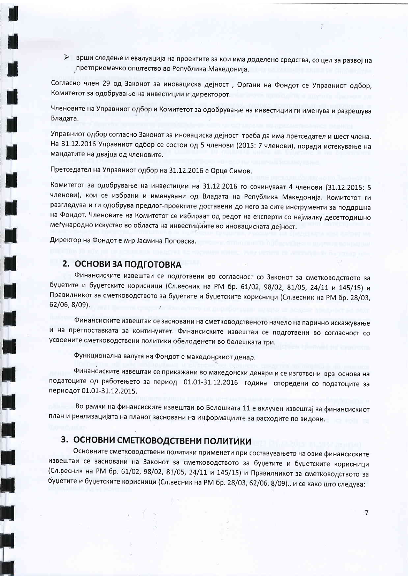> врши следење и евалуација на проектите за кои има доделено средства, со цел за развој на претприемачко општество во Република Македонија.

Согласно член 29 од Законот за иновациска дејност, Органи на Фондот се Управниот одбор, Комитетот за одобрување на инвестиции и директорот.

Членовите на Управниот одбор и Комитетот за одобрување на инвестиции ги именува и разрешува Владата.

Управниот одбор согласно Законот за иновациска дејност треба да има претседател и шест члена. На 31.12.2016 Управниот одбор се состои од 5 членови (2015: 7 членови), поради истекување на мандатите на двајца од членовите.

Претседател на Управниот одбор на 31.12.2016 е Орце Симов.

Комитетот за одобрување на инвестиции на 31.12.2016 го сочинуваат 4 членови (31.12.2015: 5 членови), кои се избрани и именувани од Владата на Република Македонија. Комитетот ги разгледува и ги одобрува предлог-проектите доставени до него за сите инструменти за поддршка на Фондот. Членовите на Комитетот се избираат од редот на експерти со најмалку десетгодишно меѓународно искуство во областа на инвестициите во иновациската дејност.

Директор на Фондот е м-р Јасмина Поповска.

### 2. ОСНОВИ ЗА ПОДГОТОВКА

Финансиските извештаи се подготвени во согласност со Законот за сметководството за буџетите и буџетските корисници (Сл.весник на РМ бр. 61/02, 98/02, 81/05, 24/11 и 145/15) и Правилникот за сметководството за буџетите и буџетските корисници (Сл.весник на РМ бр. 28/03,  $62/06, 8/09$ ).

Финансиските извештаи се засновани на сметководственото начело на парично искажување и на претпоставката за континуитет. Финансиските извештаи се подготвени во согласност со усвоените сметководствени политики обелоденети во белешката три.

Функционална валута на Фондот е македонскиот денар.

Финансиските извештаи се прикажани во македонски денари и се изготвени врз основа на податоците од работењето за период 01.01-31.12.2016 година споредени со податоците за периодот 01.01-31.12.2015.

Во рамки на финансиските извештаи во Белешката 11 е вклучен извештај за финансискиот план и реализацијата на планот засновани на информациите за расходите по видови.

### 3. ОСНОВНИ СМЕТКОВОДСТВЕНИ ПОЛИТИКИ

Основните сметководствени политики применети при составувањето на овие финансиските извештаи се засновани на Законот за сметководството за буџетите и буџетските корисници (Сл. весник на РМ бр. 61/02, 98/02, 81/05, 24/11 и 145/15) и Правилникот за сметководството за буџетите и буџетските корисници (Сл.весник на РМ бр. 28/03, 62/06, 8/09)., и се како што следува: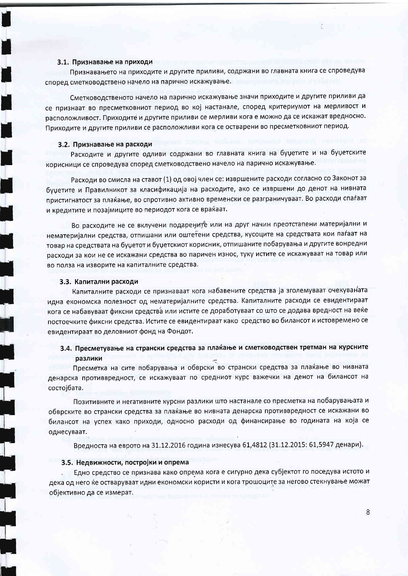#### 3.1. Признавање на приходи

Признавањето на приходите и другите приливи, содржани во главната книга се спроведува според сметководствено начело на парично искажување.

Сметководственото начело на парично искажување значи приходите и другите приливи да се признаат во пресметковниот период во кој настанале, според критериумот на мерливост и расположливост. Приходите и другите приливи се мерливи кога е можно да се искажат вредносно. Приходите и другите приливи се расположливи кога се остварени во пресметковниот период.

#### 3.2. Признавање на расходи

Расходите и другите одливи содржани во главната книга на буџетите и на буџетските корисници се спроведува според сметководствено начело на парично искажување.

Расходи во смисла на ставот (1) од овој член се: извршените расходи согласно со Законот за буџетите и Правилникот за класификација на расходите, ако се извршени до денот на нивната пристигнатост за плаќање, во спротивно активно временски се разграничуваат. Во расходи спаѓаат и кредитите и позајмиците во периодот кога се враќаат.

Во расходите не се вклучени подарените или на друг начин преотстапени материјални и нематеријални средства, отпишани или оштетени средства, кусоците на средствата кои паѓаат на товар на средствата на буџетот и буџетскиот корисник, отпишаните побарувања и другите вонредни расходи за кои не се искажани средства во паричен износ, туку истите се искажуваат на товар или во полза на изворите на капиталните средства.

#### 3.3. Капитални расходи

Капиталните расходи се признаваат кога набавените средства ја зголемуваат очекуваната идна економска полезност од нематеријалните средства. Капиталните расходи се евидентираат кога се набавуваат фиксни средства или истите се доработуваат со што се додава вредност на веќе постоечките фиксни средства. Истите се евидентираат како средство во билансот и истовремено се евидентираат во деловниот фонд на Фондот.

### 3.4. Пресметување на странски средства за плаќање и сметководствен третман на курсните разлики

Пресметка на сите побарувања и обврски во странски средства за плаќање во нивната денарска противвредност, се искажуваат по средниот курс важечки на денот на билансот на состојбата.

Позитивните и негативните курсни разлики што настанале со пресметка на побарувањата и обврските во странски средства за плаќање во нивната денарска противвредност се искажани во билансот на успех како приходи, односно расходи од финансирање во годината на која се однесуваат.

Вредноста на еврото на 31.12.2016 година изнесува 61,4812 (31.12.2015: 61,5947 денари).

#### 3.5. Недвижности, постројки и опрема

Едно средство се признава како опрема кога е сигурно дека субјектот го поседува истото и дека од него ќе остваруваат идни економски користи и кога трошоците за негово стекнување можат објективно да се измерат.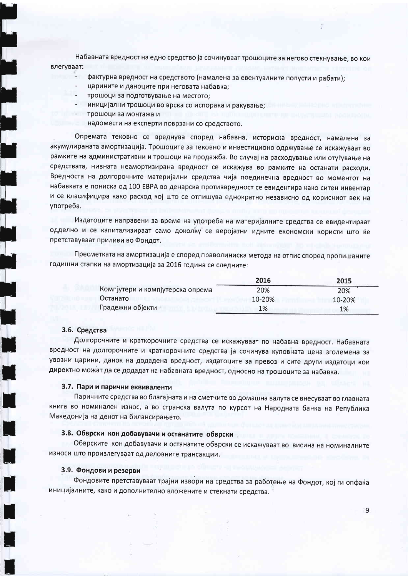Набавната вредност на едно средство ја сочинуваат трошоците за негово стекнување, во кои влегуваат:

- фактурна вредност на средството (намалена за евентуалните попусти и рабати):
- царините и даноците при неговата набавка;
- трошоци за подготвување на местото:
- иницијални трошоци во врска со испорака и ракување;
- трошоци за монтажа и
- надомести на експерти поврзани со средството.

Опремата тековно се вреднува според набавна, историска вредност, намалена за акумулираната амортизација. Трошоците за тековно и инвестиционо одржување се искажуваат во рамките на административни и трошоци на продажба. Во случај на расходување или отуѓување на средствата, нивната неамортизирана вредност се искажува во рамките на останати расходи. Вредноста на долгорочните материјални средства чија поединечна вредност во моментот на набавката е пониска од 100 ЕВРА во денарска противвредност се евидентира како ситен инвентар и се класифицира како расход кој што се отпишува еднократно независно од корисниот век на употреба.

Издатоците направени за време на употреба на материјалните средства се евидентираат одделно и се капитализираат само доколку се веројатни идните економски користи што ќе претставуваат приливи во Фондот.

Пресметката на амортизација е според праволиниска метода на отпис според пропишаните годишни стапки на амортизација за 2016 година се следните:

|                                  | 2016   | 2015   |
|----------------------------------|--------|--------|
| Компјутери и компјутерска опрема | 20%    | 20%    |
| Останато                         | 10-20% | 10-20% |
| Градежни објекти -               | 1%     | 1%     |

#### 3.6. Средства

Долгорочните и краткорочните средства се искажуваат по набавна вредност. Набавната вредност на долгорочните и краткорочните средства ја сочинува куповната цена зголемена за увозни царини, данок на додадена вредност, издатоците за превоз и сите други издатоци кои директно можат да се додадат на набавната вредност, односно на трошоците за набавка.

#### 3.7. Пари и парични еквиваленти

Паричните средства во благајната и на сметките во домашна валута се внесуваат во главната книга во номинален износ, а во странска валута по курсот на Народната банка на Република Македонија на денот на билансирањето.

#### 3.8. Обврски кон добавувачи и останатите обврски

Обврските кон добавувачи и останатите обврски се искажуваат во висина на номиналните износи што произлегуваат од деловните трансакции.

#### 3.9. Фондови и резерви

Фондовите претставуваат трајни извори на средства за работење на Фондот, кој ги опфаќа иницијалните, како и дополнително вложените и стекнати средства.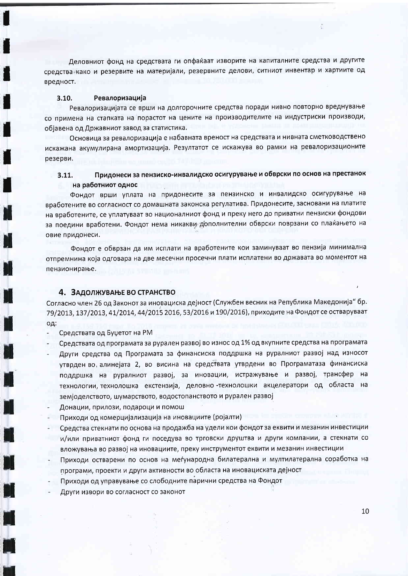Деловниот фонд на средствата ги опфаќаат изворите на капиталните средства и другите средства како и резервите на материјали, резервните делови, ситниот инвентар и хартиите од вредност.

#### $3.10.$ Ревалоризација

Ревалоризацијата се врши на долгорочните средства поради нивно повторно вреднување со примена на стапката на порастот на цените на производителите на индустриски производи, објавена од Државниот завод за статистика.

Основица за ревалоризација е набавната вреност на средствата и нивната сметководствено искажана акумулирана амортизација. Резултатот се искажува во рамки на ревалоризационите резерви.

#### Придонеси за пензиско-инвалидско осигурување и обврски по основ на престанок  $3.11.$ на работниот однос

Фондот врши уплата на придонесите за пензинско и инвалидско осигурување на вработените во согласност со домашната законска регулатива. Придонесите, засновани на платите на вработените, се уплатуваат во националниот фонд и преку него до приватни пензиски фондови за поедини вработени. Фондот нема никакви дополнителни обврски поврзани со плаќањето на овие придонеси.

Фондот е обврзан да им исплати на вработените кои заминуваат во пензија минимална отпремнина која одговара на две месечни просечни плати исплатени во државата во моментот на пензионирање.

### 4. ЗАДОЛЖУВАЊЕ ВО СТРАНСТВО

Согласно член 26 од Законот за иновациска дејност (Службен весник на Република Македонија" бр. 79/2013, 137/2013, 41/2014, 44/2015 2016, 53/2016 и 190/2016), приходите на Фондот се остваруваат од:

Средствата од Буџетот на РМ

- Средствата од програмата за рурален развој во износ од 1% од вкупните средства на програмата
- Други средства од Програмата за финансиска поддршка на руралниот развој над износот утврден во алинејата 2, во висина на средствата утврдени во Програматаза финансиска поддршка на руралниот развој, за иновации, истражување и развој, трансфер на технологии, технолошка екстензија, деловно-технолошки акцелератори од областа на земјоделството, шумарството, водостопанството и рурален развој
- Донации, прилози, подароци и помош
- Приходи од комерцијализација на иновациите (ројалти)
- Средства стекнати по основа на продажба на удели кои фондот за еквити и мезанин инвестиции и/или приватниот фонд ги поседува во трговски друштва и други компании, а стекнати со вложувања во развој на иновациите, преку инструментот еквити и мезанин инвестиции
- Приходи остварени по основ на меѓународна билатерална и мултилатерална соработка на програми, проекти и други активности во областа на иновациската дејност
- Приходи од управување со слободните парични средства на Фондот
- Други извори во согласност со законот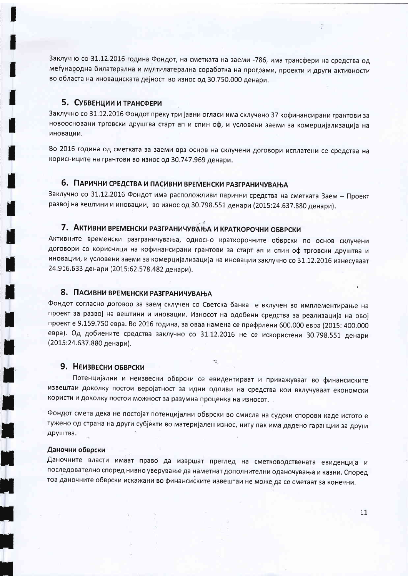Заклучно со 31.12.2016 година Фондот, на сметката на заеми -786, има трансфери на средства од меѓународна билатерална и мултилатерална соработка на програми, проекти и други активности во областа на иновациската дејност во износ од 30.750.000 денари.

#### 5. СУБВЕНЦИИ И ТРАНСФЕРИ

Заклучно со 31.12.2016 Фондот преку три јавни огласи има склучено 37 кофинансирани грантови за новоосновани трговски друштва старт ап и спин оф, и условени заеми за комерцијализација на иновации.

Во 2016 година од сметката за заеми врз основ на склучени договори исплатени се средства на корисниците на грантови во износ од 30.747.969 денари.

### 6. ПАРИЧНИ СРЕДСТВА И ПАСИВНИ ВРЕМЕНСКИ РАЗГРАНИЧУВАЊА

Заклучно со 31.12.2016 Фондот има расположливи парични средства на сметката Заем - Проект развој на вештини и иновации, во износ од 30.798.551 денари (2015:24.637.880 денари).

### 7. АКТИВНИ ВРЕМЕНСКИ РАЗГРАНИЧУВАЊА И КРАТКОРОЧНИ ОБВРСКИ

Активните временски разграничувања, односно краткорочните обврски по основ склучени договори со корисници на кофинансирани грантови за старт ап и спин оф трговски друштва и иновации, и условени заеми за комерцијализација на иновации заклучно со 31.12.2016 изнесуваат 24.916.633 денари (2015:62.578.482 денари).

### 8. ПАСИВНИ ВРЕМЕНСКИ РАЗГРАНИЧУВАЊА

Фондот согласно договор за заем склучен со Светска банка е вклучен во имплементирање на проект за развој на вештини и иновации. Износот на одобени средства за реализација на овој проект е 9.159.750 евра. Во 2016 година, за оваа намена се префрлени 600.000 евра (2015: 400.000 евра). Од добиените средства заклучно со 31.12.2016 не се искористени 30.798.551 денари (2015:24.637.880 денари).

#### 9. НЕИЗВЕСНИ ОБВРСКИ

Потенцијални и неизвесни обврски се евидентираат и прикажуваат во финансиските извештаи доколку постои веројатност за идни одливи на средства кои вклучуваат економски користи и доколку постои можност за разумна проценка на износот.

 $\frac{1}{2}$ 

Фондот смета дека не постојат потенцијални обврски во смисла на судски спорови каде истото е тужено од страна на други субјекти во материјален износ, ниту пак има дадено гаранции за други друштва.

#### Даночни обврски

Даночните власти имаат право да извршат преглед на сметководствената евиденција и последователно според нивно уверување да наметнат дополнителни оданочувања и казни. Според тоа даночните обврски искажани во финансиските извештаи не може да се сметаат за конечни.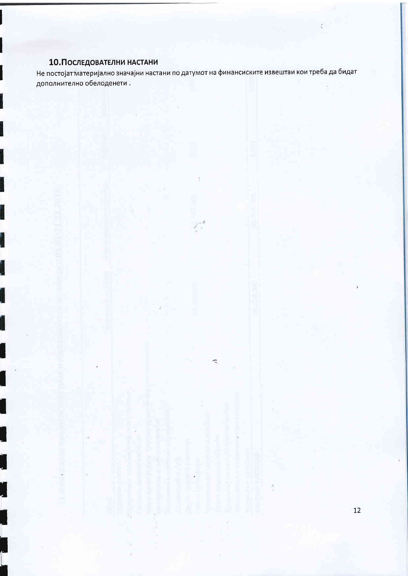# 10. Последователни настани

Не постојат материјално значајни настани по датумот на финансиските извештаи кои треба да бидат дополнително обелоденети.

t e

 $\frac{d\mathbf{r}}{dt}$ 

 $12$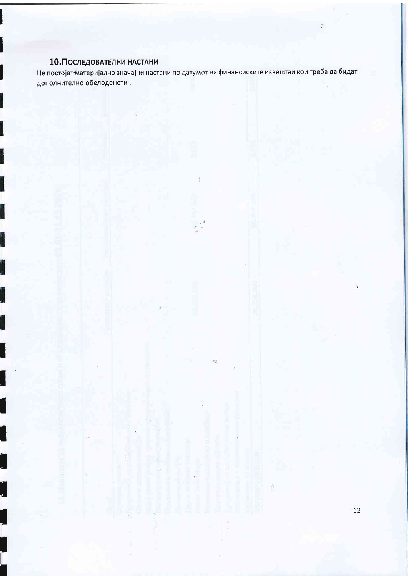# 10. Последователни настани

Не постојат материјално значајни настани по датумот на финансиските извештаи кои треба да бидат дополнително обелоденети.